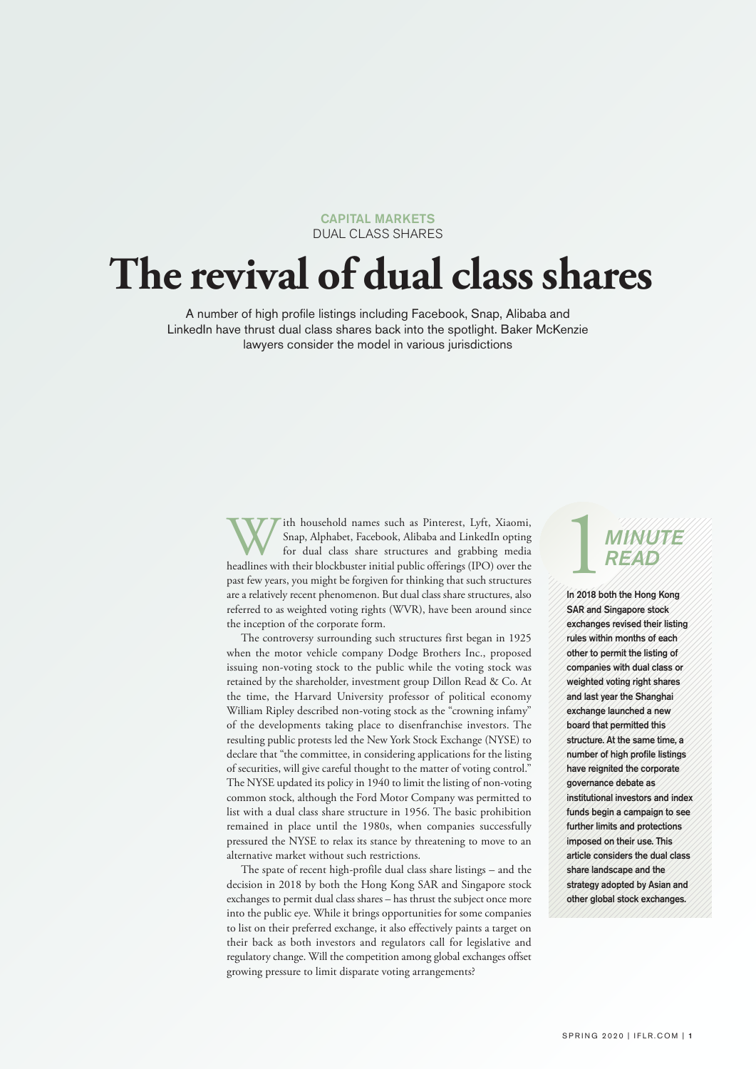CAPITAL MARKETS DUAL CLASS SHARES

## **The revival of dual classshares**

A number of high profile listings including Facebook, Snap, Alibaba and LinkedIn have thrust dual class shares back into the spotlight. Baker McKenzie lawyers consider the model in various jurisdictions

> With household names such as Pinterest, Lyft, Xiaomi,<br>Snap, Alphabet, Facebook, Alibaba and LinkedIn opting<br>for dual class share structures and grabbing media<br>headlines with their blockbuster initial public offerings (IPO) Snap, Alphabet, Facebook, Alibaba and LinkedIn opting for dual class share structures and grabbing media past few years, you might be forgiven for thinking that such structures are a relatively recent phenomenon. But dual class share structures, also referred to as weighted voting rights (WVR), have been around since the inception of the corporate form.

> The controversy surrounding such structures first began in 1925 when the motor vehicle company Dodge Brothers Inc., proposed issuing non-voting stock to the public while the voting stock was retained by the shareholder, investment group Dillon Read & Co. At the time, the Harvard University professor of political economy William Ripley described non-voting stock as the "crowning infamy" of the developments taking place to disenfranchise investors. The resulting public protests led the New York Stock Exchange (NYSE) to declare that "the committee, in considering applications for the listing of securities, will give careful thought to the matter of voting control." The NYSE updated its policy in 1940 to limit the listing of non-voting common stock, although the Ford Motor Company was permitted to list with a dual class share structure in 1956. The basic prohibition remained in place until the 1980s, when companies successfully pressured the NYSE to relax its stance by threatening to move to an alternative market without such restrictions.

> The spate of recent high-profile dual class share listings – and the decision in 2018 by both the Hong Kong SAR and Singapore stock exchanges to permit dual class shares – has thrust the subject once more into the public eye. While it brings opportunities for some companies to list on their preferred exchange, it also effectively paints a target on their back as both investors and regulators call for legislative and regulatory change. Will the competition among global exchanges offset growing pressure to limit disparate voting arrangements?

# **1**<br>READ *READ*

In 2018 both the Hong Kong SAR and Singapore stock exchanges revised their listing rules within months of each other to permit the listing of companies with dual class or weighted voting right shares and last year the Shanghai exchange launched a new board that permitted this structure. At the same time, a number of high profile listings have reignited the corporate governance debate as institutional investors and index funds begin a campaign to see further limits and protections imposed on their use. This article considers the dual class share landscape and the strategy adopted by Asian and other global stock exchanges.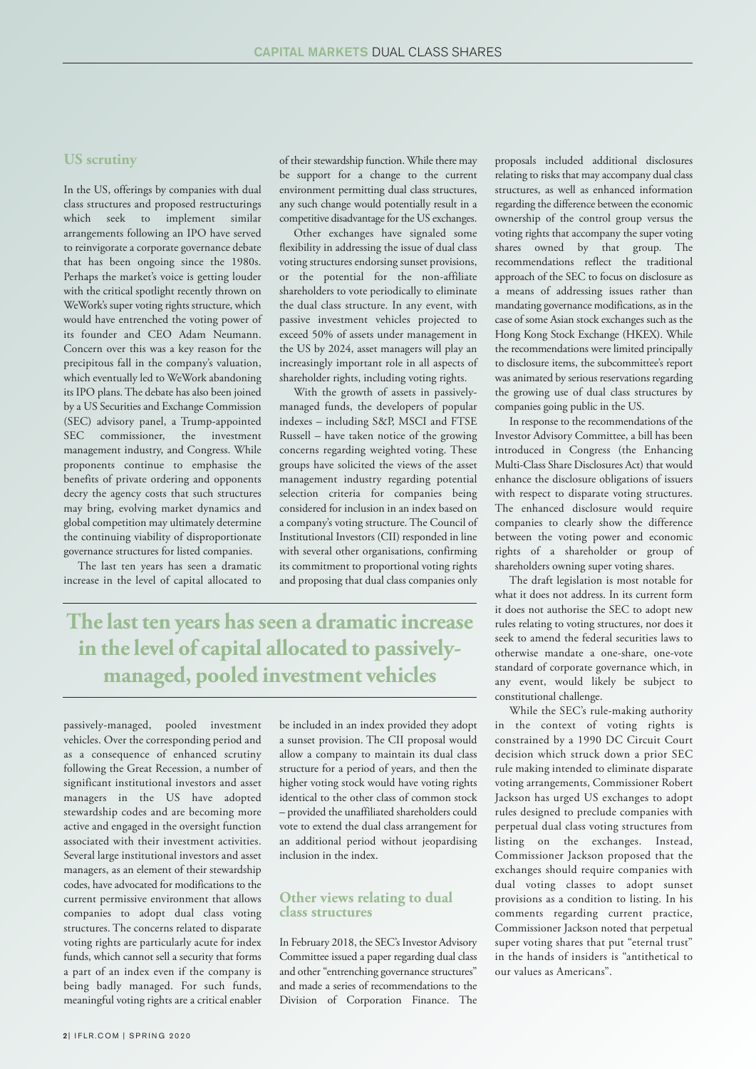#### **US scrutiny**

In the US, offerings by companies with dual class structures and proposed restructurings which seek to implement similar arrangements following an IPO have served to reinvigorate a corporate governance debate that has been ongoing since the 1980s. Perhaps the market's voice is getting louder with the critical spotlight recently thrown on WeWork's super voting rights structure, which would have entrenched the voting power of its founder and CEO Adam Neumann. Concern over this was a key reason for the precipitous fall in the company's valuation, which eventually led to WeWork abandoning its IPO plans.The debate has also been joined by a US Securities and Exchange Commission (SEC) advisory panel, a Trump-appointed SEC commissioner, the investment management industry, and Congress. While proponents continue to emphasise the benefits of private ordering and opponents decry the agency costs that such structures may bring, evolving market dynamics and global competition may ultimately determine the continuing viability of disproportionate governance structures for listed companies.

The last ten years has seen a dramatic increase in the level of capital allocated to of their stewardship function. While there may be support for a change to the current environment permitting dual class structures, any such change would potentially result in a competitive disadvantage for the US exchanges.

Other exchanges have signaled some flexibility in addressing the issue of dual class voting structures endorsing sunset provisions, or the potential for the non-affiliate shareholders to vote periodically to eliminate the dual class structure. In any event, with passive investment vehicles projected to exceed 50% of assets under management in the US by 2024, asset managers will play an increasingly important role in all aspects of shareholder rights, including voting rights.

With the growth of assets in passivelymanaged funds, the developers of popular indexes – including S&P, MSCI and FTSE Russell – have taken notice of the growing concerns regarding weighted voting. These groups have solicited the views of the asset management industry regarding potential selection criteria for companies being considered for inclusion in an index based on a company's voting structure. The Council of Institutional Investors (CII) responded in line with several other organisations, confirming its commitment to proportional voting rights and proposing that dual class companies only

**The last ten years hasseen a dramatic increase in the level of capital allocated to passivelymanaged, pooled investment vehicles**

passively-managed, pooled investment vehicles. Over the corresponding period and as a consequence of enhanced scrutiny following the Great Recession, a number of significant institutional investors and asset managers in the US have adopted stewardship codes and are becoming more active and engaged in the oversight function associated with their investment activities. Several large institutional investors and asset managers, as an element of their stewardship codes, have advocated for modifications to the current permissive environment that allows companies to adopt dual class voting structures. The concerns related to disparate voting rights are particularly acute for index funds, which cannot sell a security that forms a part of an index even if the company is being badly managed. For such funds, meaningful voting rights are a critical enabler

be included in an index provided they adopt a sunset provision. The CII proposal would allow a company to maintain its dual class structure for a period of years, and then the higher voting stock would have voting rights identical to the other class of common stock – provided the unaffiliated shareholders could vote to extend the dual class arrangement for an additional period without jeopardising inclusion in the index.

#### **Other views relating to dual class structures**

In February 2018, the SEC's Investor Advisory Committee issued a paper regarding dual class and other "entrenching governance structures" and made a series of recommendations to the Division of Corporation Finance. The proposals included additional disclosures relating to risks that may accompany dual class structures, as well as enhanced information regarding the difference between the economic ownership of the control group versus the voting rights that accompany the super voting shares owned by that group. The recommendations reflect the traditional approach of the SEC to focus on disclosure as a means of addressing issues rather than mandating governance modifications, as in the case of some Asian stock exchanges such as the Hong Kong Stock Exchange (HKEX). While the recommendations were limited principally to disclosure items, the subcommittee's report was animated by serious reservations regarding the growing use of dual class structures by companies going public in the US.

In response to the recommendations of the Investor Advisory Committee, a bill has been introduced in Congress (the Enhancing Multi-Class Share Disclosures Act) that would enhance the disclosure obligations of issuers with respect to disparate voting structures. The enhanced disclosure would require companies to clearly show the difference between the voting power and economic rights of a shareholder or group of shareholders owning super voting shares.

The draft legislation is most notable for what it does not address. In its current form it does not authorise the SEC to adopt new rules relating to voting structures, nor does it seek to amend the federal securities laws to otherwise mandate a one-share, one-vote standard of corporate governance which, in any event, would likely be subject to constitutional challenge.

While the SEC's rule-making authority in the context of voting rights is constrained by a 1990 DC Circuit Court decision which struck down a prior SEC rule making intended to eliminate disparate voting arrangements, Commissioner Robert Jackson has urged US exchanges to adopt rules designed to preclude companies with perpetual dual class voting structures from listing on the exchanges. Instead, Commissioner Jackson proposed that the exchanges should require companies with dual voting classes to adopt sunset provisions as a condition to listing. In his comments regarding current practice, Commissioner Jackson noted that perpetual super voting shares that put "eternal trust" in the hands of insiders is "antithetical to our values as Americans".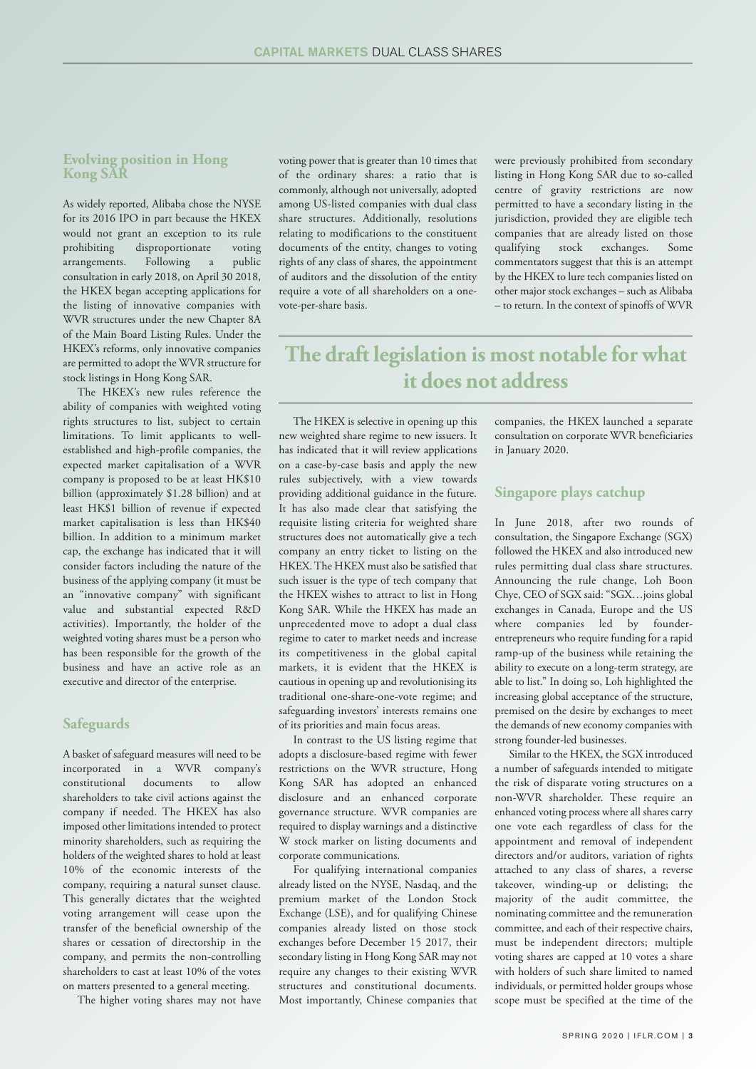#### **Evolving position in Hong Kong SAR**

As widely reported, Alibaba chose the NYSE for its 2016 IPO in part because the HKEX would not grant an exception to its rule prohibiting disproportionate voting arrangements. Following a public consultation in early 2018, on April 30 2018, the HKEX began accepting applications for the listing of innovative companies with WVR structures under the new Chapter 8A of the Main Board Listing Rules. Under the HKEX's reforms, only innovative companies are permitted to adopt the WVR structure for stock listings in Hong Kong SAR.

The HKEX's new rules reference the ability of companies with weighted voting rights structures to list, subject to certain limitations. To limit applicants to wellestablished and high-profile companies, the expected market capitalisation of a WVR company is proposed to be at least HK\$10 billion (approximately \$1.28 billion) and at least HK\$1 billion of revenue if expected market capitalisation is less than HK\$40 billion. In addition to a minimum market cap, the exchange has indicated that it will consider factors including the nature of the business of the applying company (it must be an "innovative company" with significant value and substantial expected R&D activities). Importantly, the holder of the weighted voting shares must be a person who has been responsible for the growth of the business and have an active role as an executive and director of the enterprise.

#### **Safeguards**

A basket of safeguard measures will need to be incorporated in a WVR company's constitutional documents to allow shareholders to take civil actions against the company if needed. The HKEX has also imposed other limitations intended to protect minority shareholders, such as requiring the holders of the weighted shares to hold at least 10% of the economic interests of the company, requiring a natural sunset clause. This generally dictates that the weighted voting arrangement will cease upon the transfer of the beneficial ownership of the shares or cessation of directorship in the company, and permits the non-controlling shareholders to cast at least 10% of the votes on matters presented to a general meeting.

The higher voting shares may not have

voting power that is greater than 10 times that of the ordinary shares: a ratio that is commonly, although not universally, adopted among US-listed companies with dual class share structures. Additionally, resolutions relating to modifications to the constituent documents of the entity, changes to voting rights of any class of shares, the appointment of auditors and the dissolution of the entity require a vote of all shareholders on a onevote-per-share basis.

were previously prohibited from secondary listing in Hong Kong SAR due to so-called centre of gravity restrictions are now permitted to have a secondary listing in the jurisdiction, provided they are eligible tech companies that are already listed on those qualifying stock exchanges. Some commentators suggest that this is an attempt by the HKEX to lure tech companies listed on other major stock exchanges – such as Alibaba – to return. In the context of spinoffs of WVR

## **The draft legislation is most notable forwhat it does not address**

The HKEX is selective in opening up this new weighted share regime to new issuers. It has indicated that it will review applications on a case-by-case basis and apply the new rules subjectively, with a view towards providing additional guidance in the future. It has also made clear that satisfying the requisite listing criteria for weighted share structures does not automatically give a tech company an entry ticket to listing on the HKEX.The HKEX must also be satisfied that such issuer is the type of tech company that the HKEX wishes to attract to list in Hong Kong SAR. While the HKEX has made an unprecedented move to adopt a dual class regime to cater to market needs and increase its competitiveness in the global capital markets, it is evident that the HKEX is cautious in opening up and revolutionising its traditional one-share-one-vote regime; and safeguarding investors' interests remains one of its priorities and main focus areas.

In contrast to the US listing regime that adopts a disclosure-based regime with fewer restrictions on the WVR structure, Hong Kong SAR has adopted an enhanced disclosure and an enhanced corporate governance structure. WVR companies are required to display warnings and a distinctive W stock marker on listing documents and corporate communications.

For qualifying international companies already listed on the NYSE, Nasdaq, and the premium market of the London Stock Exchange (LSE), and for qualifying Chinese companies already listed on those stock exchanges before December 15 2017, their secondary listing in Hong Kong SAR may not require any changes to their existing WVR structures and constitutional documents. Most importantly, Chinese companies that

companies, the HKEX launched a separate consultation on corporate WVR beneficiaries in January 2020.

#### **Singapore plays catchup**

In June 2018, after two rounds of consultation, the Singapore Exchange (SGX) followed the HKEX and also introduced new rules permitting dual class share structures. Announcing the rule change, Loh Boon Chye, CEO of SGX said: "SGX…joins global exchanges in Canada, Europe and the US where companies led by founderentrepreneurs who require funding for a rapid ramp-up of the business while retaining the ability to execute on a long-term strategy, are able to list." In doing so, Loh highlighted the increasing global acceptance of the structure, premised on the desire by exchanges to meet the demands of new economy companies with strong founder-led businesses.

Similar to the HKEX, the SGX introduced a number of safeguards intended to mitigate the risk of disparate voting structures on a non-WVR shareholder. These require an enhanced voting process where all shares carry one vote each regardless of class for the appointment and removal of independent directors and/or auditors, variation of rights attached to any class of shares, a reverse takeover, winding-up or delisting; the majority of the audit committee, the nominating committee and the remuneration committee, and each of their respective chairs, must be independent directors; multiple voting shares are capped at 10 votes a share with holders of such share limited to named individuals, or permitted holder groups whose scope must be specified at the time of the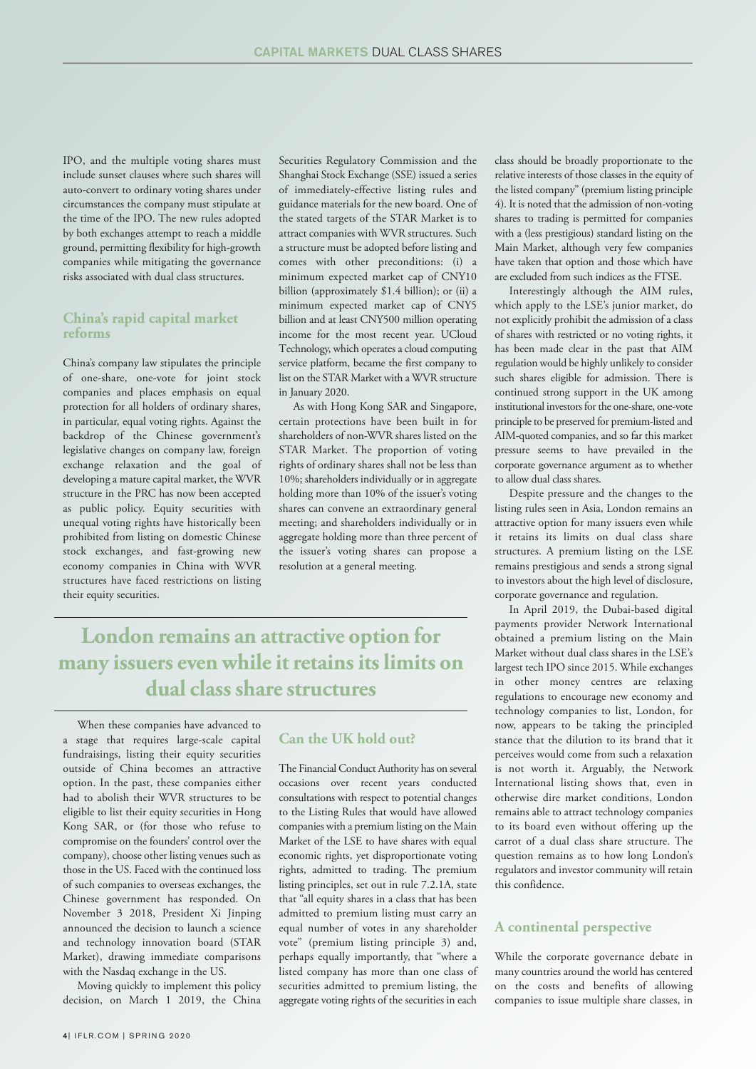IPO, and the multiple voting shares must include sunset clauses where such shares will auto-convert to ordinary voting shares under circumstances the company must stipulate at the time of the IPO. The new rules adopted by both exchanges attempt to reach a middle ground, permitting flexibility for high-growth companies while mitigating the governance risks associated with dual class structures.

#### **China's rapid capital market reforms**

China's company law stipulates the principle of one-share, one-vote for joint stock companies and places emphasis on equal protection for all holders of ordinary shares, in particular, equal voting rights. Against the backdrop of the Chinese government's legislative changes on company law, foreign exchange relaxation and the goal of developing a mature capital market, the WVR structure in the PRC has now been accepted as public policy. Equity securities with unequal voting rights have historically been prohibited from listing on domestic Chinese stock exchanges, and fast-growing new economy companies in China with WVR structures have faced restrictions on listing their equity securities.

Securities Regulatory Commission and the Shanghai Stock Exchange (SSE) issued a series of immediately-effective listing rules and guidance materials for the new board. One of the stated targets of the STAR Market is to attract companies with WVR structures. Such a structure must be adopted before listing and comes with other preconditions: (i) a minimum expected market cap of CNY10 billion (approximately \$1.4 billion); or (ii) a minimum expected market cap of CNY5 billion and at least CNY500 million operating income for the most recent year. UCloud Technology, which operates a cloud computing service platform, became the first company to list on the STAR Market with a WVR structure in January 2020.

As with Hong Kong SAR and Singapore, certain protections have been built in for shareholders of non-WVR shares listed on the STAR Market. The proportion of voting rights of ordinary shares shall not be less than 10%; shareholders individually or in aggregate holding more than 10% of the issuer's voting shares can convene an extraordinary general meeting; and shareholders individually or in aggregate holding more than three percent of the issuer's voting shares can propose a resolution at a general meeting.

## **London remains an attractive option for many issuers evenwhile itretainsitslimits on dual classshare structures**

When these companies have advanced to a stage that requires large-scale capital fundraisings, listing their equity securities outside of China becomes an attractive option. In the past, these companies either had to abolish their WVR structures to be eligible to list their equity securities in Hong Kong SAR, or (for those who refuse to compromise on the founders' control over the company), choose other listing venues such as those in the US. Faced with the continued loss of such companies to overseas exchanges, the Chinese government has responded. On November 3 2018, President Xi Jinping announced the decision to launch a science and technology innovation board (STAR Market), drawing immediate comparisons with the Nasdaq exchange in the US.

Moving quickly to implement this policy decision, on March 1 2019, the China

#### **Can the UK hold out?**

The Financial Conduct Authority has on several occasions over recent years conducted consultations with respect to potential changes to the Listing Rules that would have allowed companies with a premium listing on the Main Market of the LSE to have shares with equal economic rights, yet disproportionate voting rights, admitted to trading. The premium listing principles, set out in rule 7.2.1A, state that "all equity shares in a class that has been admitted to premium listing must carry an equal number of votes in any shareholder vote" (premium listing principle 3) and, perhaps equally importantly, that "where a listed company has more than one class of securities admitted to premium listing, the aggregate voting rights of the securities in each

class should be broadly proportionate to the relative interests of those classes in the equity of the listed company" (premium listing principle 4). It is noted that the admission of non-voting shares to trading is permitted for companies with a (less prestigious) standard listing on the Main Market, although very few companies have taken that option and those which have are excluded from such indices as the FTSE.

Interestingly although the AIM rules, which apply to the LSE's junior market, do not explicitly prohibit the admission of a class of shares with restricted or no voting rights, it has been made clear in the past that AIM regulation would be highly unlikely to consider such shares eligible for admission. There is continued strong support in the UK among institutional investors for the one-share, one-vote principle to be preserved for premium-listed and AIM-quoted companies, and so far this market pressure seems to have prevailed in the corporate governance argument as to whether to allow dual class shares.

Despite pressure and the changes to the listing rules seen in Asia, London remains an attractive option for many issuers even while it retains its limits on dual class share structures. A premium listing on the LSE remains prestigious and sends a strong signal to investors about the high level of disclosure, corporate governance and regulation.

In April 2019, the Dubai-based digital payments provider Network International obtained a premium listing on the Main Market without dual class shares in the LSE's largest tech IPO since 2015. While exchanges in other money centres are relaxing regulations to encourage new economy and technology companies to list, London, for now, appears to be taking the principled stance that the dilution to its brand that it perceives would come from such a relaxation is not worth it. Arguably, the Network International listing shows that, even in otherwise dire market conditions, London remains able to attract technology companies to its board even without offering up the carrot of a dual class share structure. The question remains as to how long London's regulators and investor community will retain this confidence.

#### **A continental perspective**

While the corporate governance debate in many countries around the world has centered on the costs and benefits of allowing companies to issue multiple share classes, in